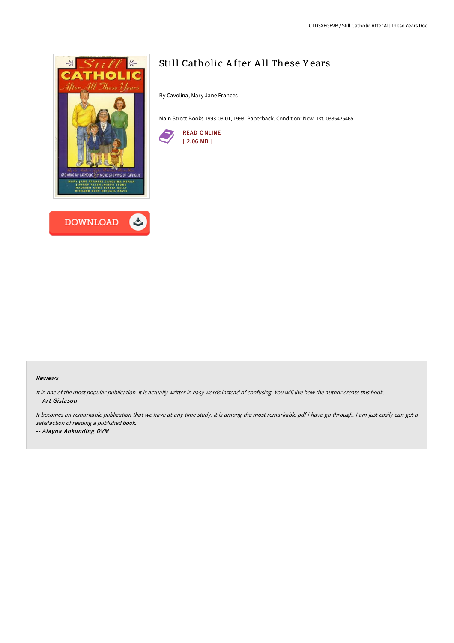



By Cavolina, Mary Jane Frances

Main Street Books 1993-08-01, 1993. Paperback. Condition: New. 1st. 0385425465.



## Reviews

It in one of the most popular publication. It is actually writter in easy words instead of confusing. You will like how the author create this book. -- Art Gislason

It becomes an remarkable publication that we have at any time study. It is among the most remarkable pdf i have go through. <sup>I</sup> am just easily can get <sup>a</sup> satisfaction of reading <sup>a</sup> published book.

-- Alayna Ankunding DVM